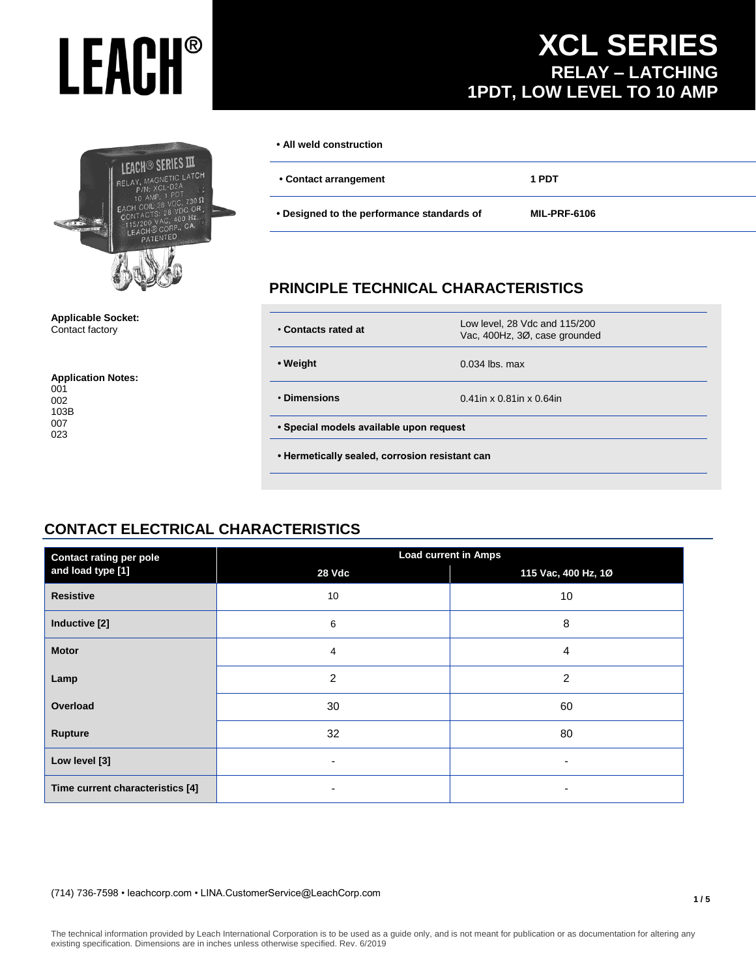# **LEACH®**

# LEACH<sup>®</sup> SERIES III RELAY MAGNETIC LATCH  $\Omega$  0  $nC$  OR  $Hz$ TENTED

### **Applicable Socket:** Contact factory

### **Application Notes:**

# **XCL SERIES RELAY – LATCHING 1PDT, LOW LEVEL TO 10 AMP**

| • All weld construction                    |                     |
|--------------------------------------------|---------------------|
| • Contact arrangement                      | 1 PDT               |
| • Designed to the performance standards of | <b>MIL-PRF-6106</b> |

# **PRINCIPLE TECHNICAL CHARACTERISTICS**

| • Contacts rated at                            | Low level, 28 Vdc and 115/200<br>Vac, 400Hz, 3Ø, case grounded |  |
|------------------------------------------------|----------------------------------------------------------------|--|
| • Weight                                       | $0.034$ lbs. max                                               |  |
| • Dimensions                                   | $0.41$ in x 0.81in x 0.64in                                    |  |
| • Special models available upon request        |                                                                |  |
| • Hermetically sealed, corrosion resistant can |                                                                |  |
|                                                |                                                                |  |

# **CONTACT ELECTRICAL CHARACTERISTICS**

| <b>Contact rating per pole</b>   | <b>Load current in Amps</b> |                          |  |
|----------------------------------|-----------------------------|--------------------------|--|
| and load type [1]                | 28 Vdc                      | 115 Vac, 400 Hz, 10      |  |
| <b>Resistive</b>                 | 10                          | 10                       |  |
| Inductive [2]                    | 6                           | 8                        |  |
| <b>Motor</b>                     | 4                           | 4                        |  |
| Lamp                             | $\overline{2}$              | 2                        |  |
| Overload                         | 30                          | 60                       |  |
| <b>Rupture</b>                   | 32                          | 80                       |  |
| Low level [3]                    | $\overline{\phantom{0}}$    | $\overline{\phantom{a}}$ |  |
| Time current characteristics [4] | $\overline{\phantom{0}}$    | $\overline{\phantom{a}}$ |  |

### (714) 736-7598 • leachcorp.com • LINA.CustomerService@LeachCorp.com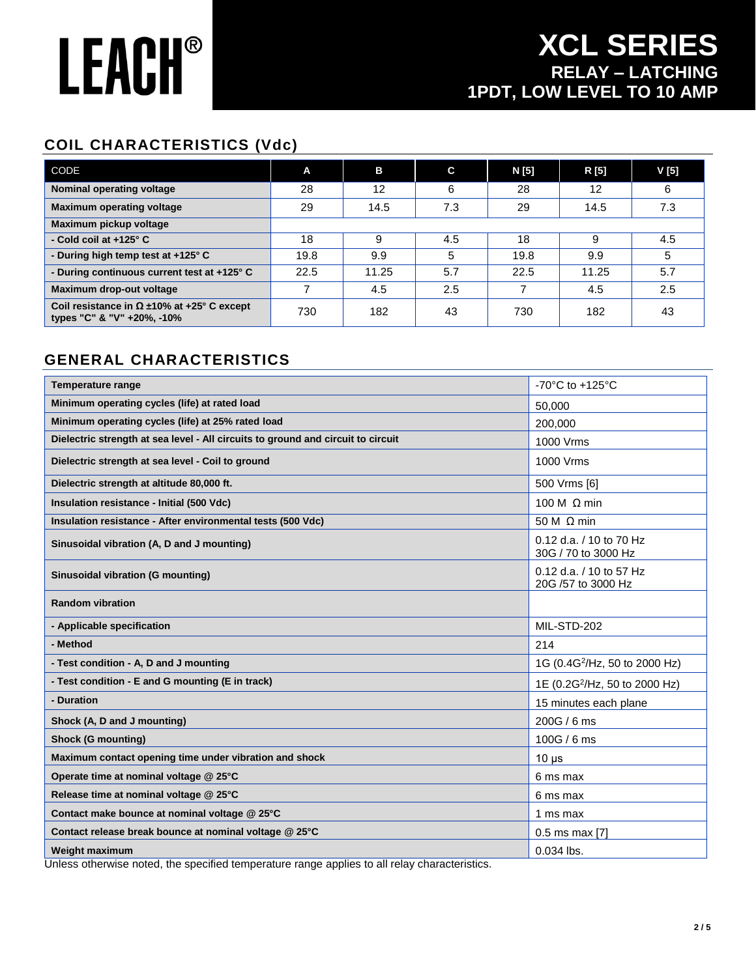# **LEACH®**

# **COIL CHARACTERISTICS (Vdc)**

| CODE                                                                                | A    | B     | C   | N [5] | R [5] | $V$ [5] |
|-------------------------------------------------------------------------------------|------|-------|-----|-------|-------|---------|
| Nominal operating voltage                                                           | 28   | 12    | 6   | 28    | 12    | 6       |
| <b>Maximum operating voltage</b>                                                    | 29   | 14.5  | 7.3 | 29    | 14.5  | 7.3     |
| Maximum pickup voltage                                                              |      |       |     |       |       |         |
| - Cold coil at +125° C                                                              | 18   | 9     | 4.5 | 18    | 9     | 4.5     |
| - During high temp test at +125° C                                                  | 19.8 | 9.9   | 5   | 19.8  | 9.9   | 5       |
| - During continuous current test at +125° C                                         | 22.5 | 11.25 | 5.7 | 22.5  | 11.25 | 5.7     |
| Maximum drop-out voltage                                                            |      | 4.5   | 2.5 |       | 4.5   | 2.5     |
| Coil resistance in $\Omega \pm 10\%$ at +25° C except<br>types "C" & "V" +20%, -10% | 730  | 182   | 43  | 730   | 182   | 43      |

# **GENERAL CHARACTERISTICS**

| <b>Temperature range</b>                                                         | -70 $^{\circ}$ C to +125 $^{\circ}$ C          |
|----------------------------------------------------------------------------------|------------------------------------------------|
| Minimum operating cycles (life) at rated load                                    | 50,000                                         |
| Minimum operating cycles (life) at 25% rated load                                | 200,000                                        |
| Dielectric strength at sea level - All circuits to ground and circuit to circuit | 1000 Vrms                                      |
| Dielectric strength at sea level - Coil to ground                                | 1000 Vrms                                      |
| Dielectric strength at altitude 80,000 ft.                                       | 500 Vrms [6]                                   |
| Insulation resistance - Initial (500 Vdc)                                        | 100 M $\Omega$ min                             |
| Insulation resistance - After environmental tests (500 Vdc)                      | 50 M $\Omega$ min                              |
| Sinusoidal vibration (A, D and J mounting)                                       | 0.12 d.a. / 10 to 70 Hz<br>30G / 70 to 3000 Hz |
| Sinusoidal vibration (G mounting)                                                | 0.12 d.a. / 10 to 57 Hz<br>20G /57 to 3000 Hz  |
| <b>Random vibration</b>                                                          |                                                |
| - Applicable specification                                                       | MIL-STD-202                                    |
| - Method                                                                         | 214                                            |
| - Test condition - A, D and J mounting                                           | 1G (0.4G <sup>2</sup> /Hz, 50 to 2000 Hz)      |
| - Test condition - E and G mounting (E in track)                                 | 1E (0.2G <sup>2</sup> /Hz, 50 to 2000 Hz)      |
| - Duration                                                                       | 15 minutes each plane                          |
| Shock (A, D and J mounting)                                                      | 200G / 6 ms                                    |
| <b>Shock (G mounting)</b>                                                        | 100G / 6 ms                                    |
| Maximum contact opening time under vibration and shock                           | $10 \mu s$                                     |
| Operate time at nominal voltage @ 25°C                                           | 6 ms max                                       |
| Release time at nominal voltage @ 25°C                                           | 6 ms max                                       |
| Contact make bounce at nominal voltage @ 25°C                                    | 1 ms max                                       |
| Contact release break bounce at nominal voltage @ 25°C                           | $0.5$ ms max [7]                               |
| <b>Weight maximum</b>                                                            | $0.034$ lbs.                                   |

Unless otherwise noted, the specified temperature range applies to all relay characteristics.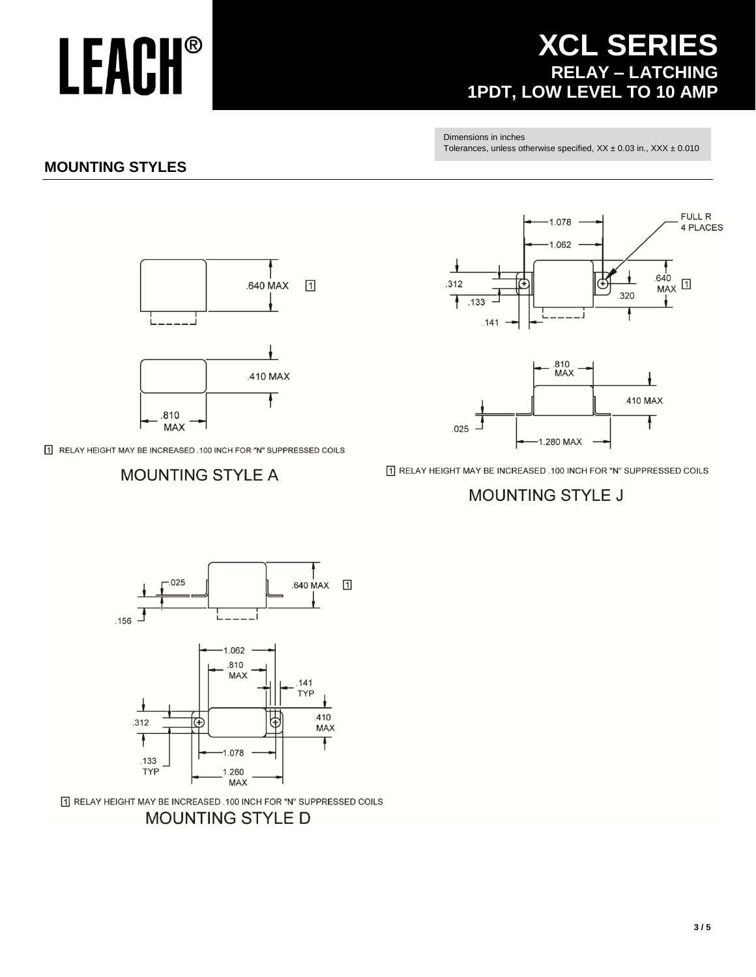### T RELAY HEIGHT MAY BE INCREASED .100 INCH FOR "N" SUPPRESSED COILS **MOUNTING STYLE D**





# **MOUNTING STYLE A**

T RELAY HEIGHT MAY BE INCREASED .100 INCH FOR "N" SUPPRESSED COILS

# l. .410 MAX Ŧ .810 **MAX**



 $\sqrt{1}$ 



 $-1.280$  MAX

T RELAY HEIGHT MAY BE INCREASED .100 INCH FOR "N" SUPPRESSED COILS

**MOUNTING STYLE J** 

 $.025$ 



Dimensions in inches Tolerances, unless otherwise specified,  $XX \pm 0.03$  in.,  $XXX \pm 0.010$ 

# **XCL SERIES** RELAY - LATCHING<br>1PDT, LOW LEVEL TO 10 AMP

# **MOUNTING STYLES**

**LEACH®** 

 $3/5$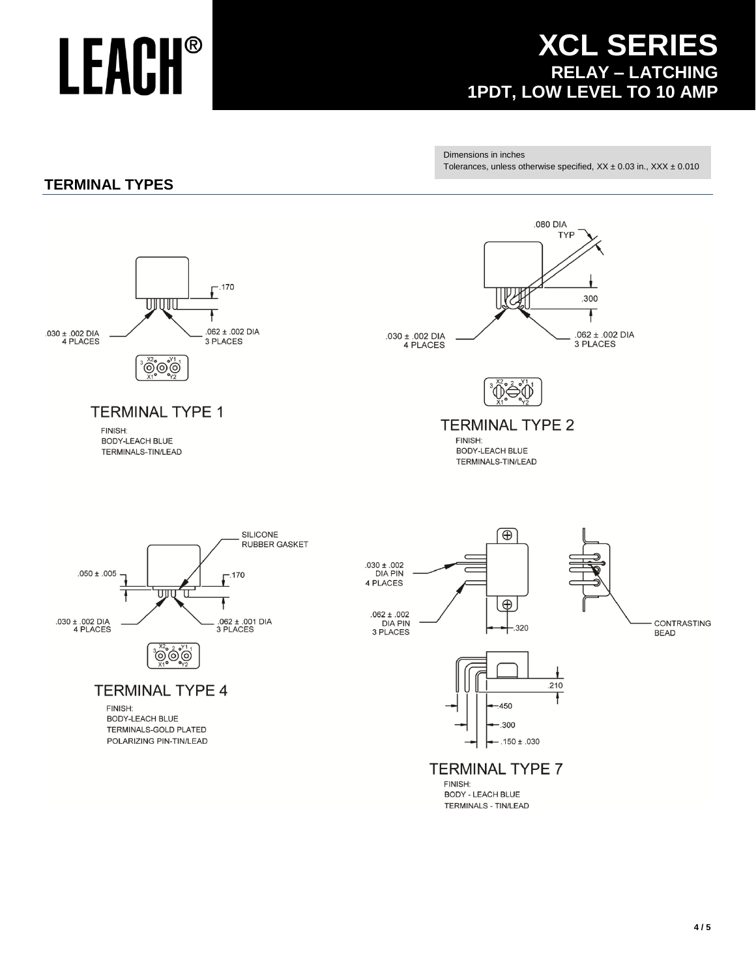# **LEACH®**

# **XCL SERIES** RELAY - LATCHING<br>1PDT, LOW LEVEL TO 10 AMP

Dimensions in inches Tolerances, unless otherwise specified,  $XX \pm 0.03$  in.,  $XXX \pm 0.010$ 

# **TERMINAL TYPES**